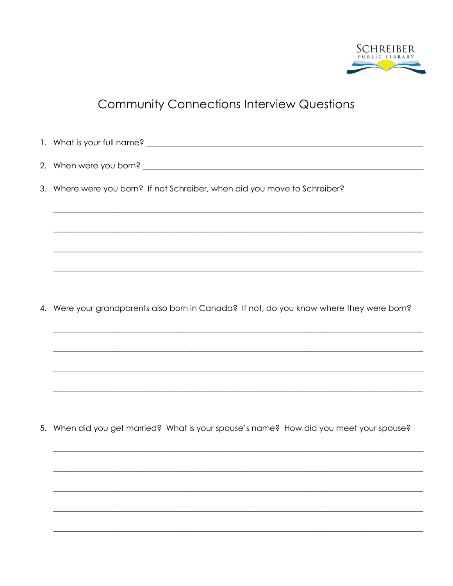

## **Community Connections Interview Questions**

1. What is your full name? <u>In the same and the same and the same and the same and the same and the same and the same and the same and the same and the same and the same and the same and the same and the same and the same </u> 3. Where were you born? If not Schreiber, when did you move to Schreiber? 4. Were your grandparents also born in Canada? If not, do you know where they were born?

5. When did you get married? What is your spouse's name? How did you meet your spouse?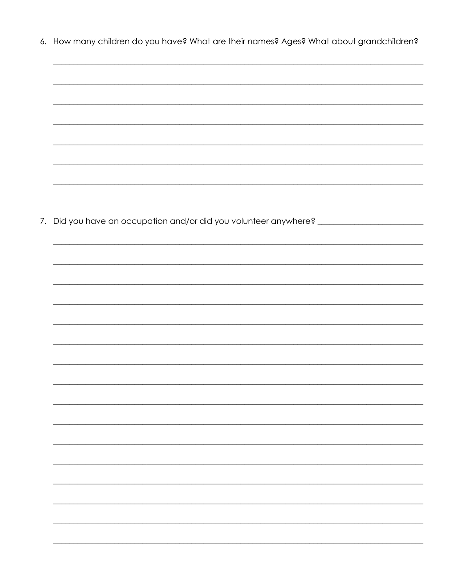6. How many children do you have? What are their names? Ages? What about grandchildren?

| 7. Did you have an occupation and/or did you volunteer anywhere? ________________ |
|-----------------------------------------------------------------------------------|
|                                                                                   |
|                                                                                   |
|                                                                                   |
|                                                                                   |
|                                                                                   |
|                                                                                   |
|                                                                                   |
|                                                                                   |
|                                                                                   |
|                                                                                   |
|                                                                                   |
|                                                                                   |
|                                                                                   |
|                                                                                   |
|                                                                                   |
|                                                                                   |
|                                                                                   |
|                                                                                   |
|                                                                                   |
|                                                                                   |
|                                                                                   |
|                                                                                   |
|                                                                                   |
|                                                                                   |
|                                                                                   |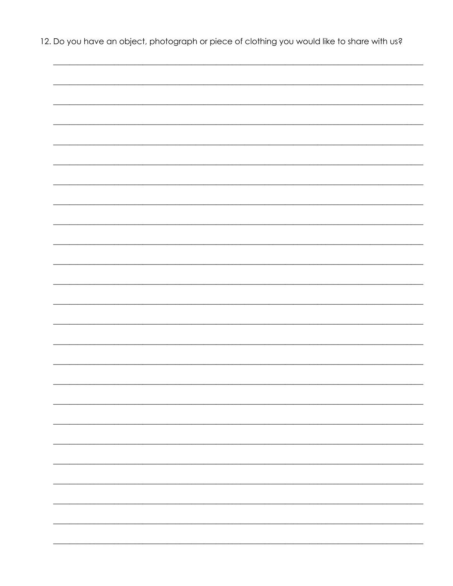12. Do you have an object, photograph or piece of clothing you would like to share with us?

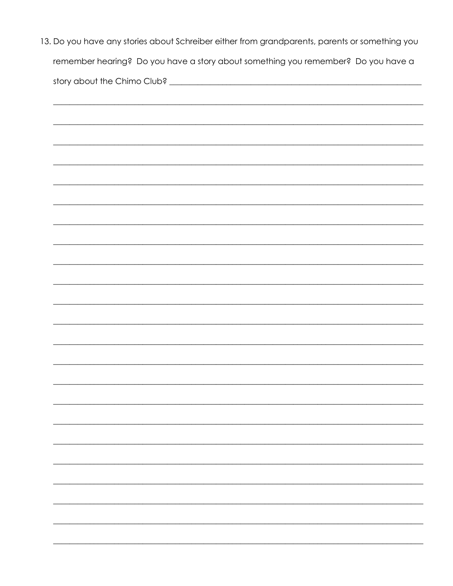| 13. Do you have any stories about Schreiber either from grandparents, parents or something you |
|------------------------------------------------------------------------------------------------|
| remember hearing? Do you have a story about something you remember? Do you have a              |
|                                                                                                |
|                                                                                                |
|                                                                                                |
|                                                                                                |
|                                                                                                |
|                                                                                                |
|                                                                                                |
|                                                                                                |
|                                                                                                |
|                                                                                                |
|                                                                                                |
|                                                                                                |
|                                                                                                |
|                                                                                                |
|                                                                                                |
|                                                                                                |
|                                                                                                |
|                                                                                                |
|                                                                                                |
|                                                                                                |
|                                                                                                |
|                                                                                                |
|                                                                                                |
|                                                                                                |
|                                                                                                |
|                                                                                                |
|                                                                                                |
|                                                                                                |
|                                                                                                |
|                                                                                                |
|                                                                                                |
|                                                                                                |
|                                                                                                |
|                                                                                                |